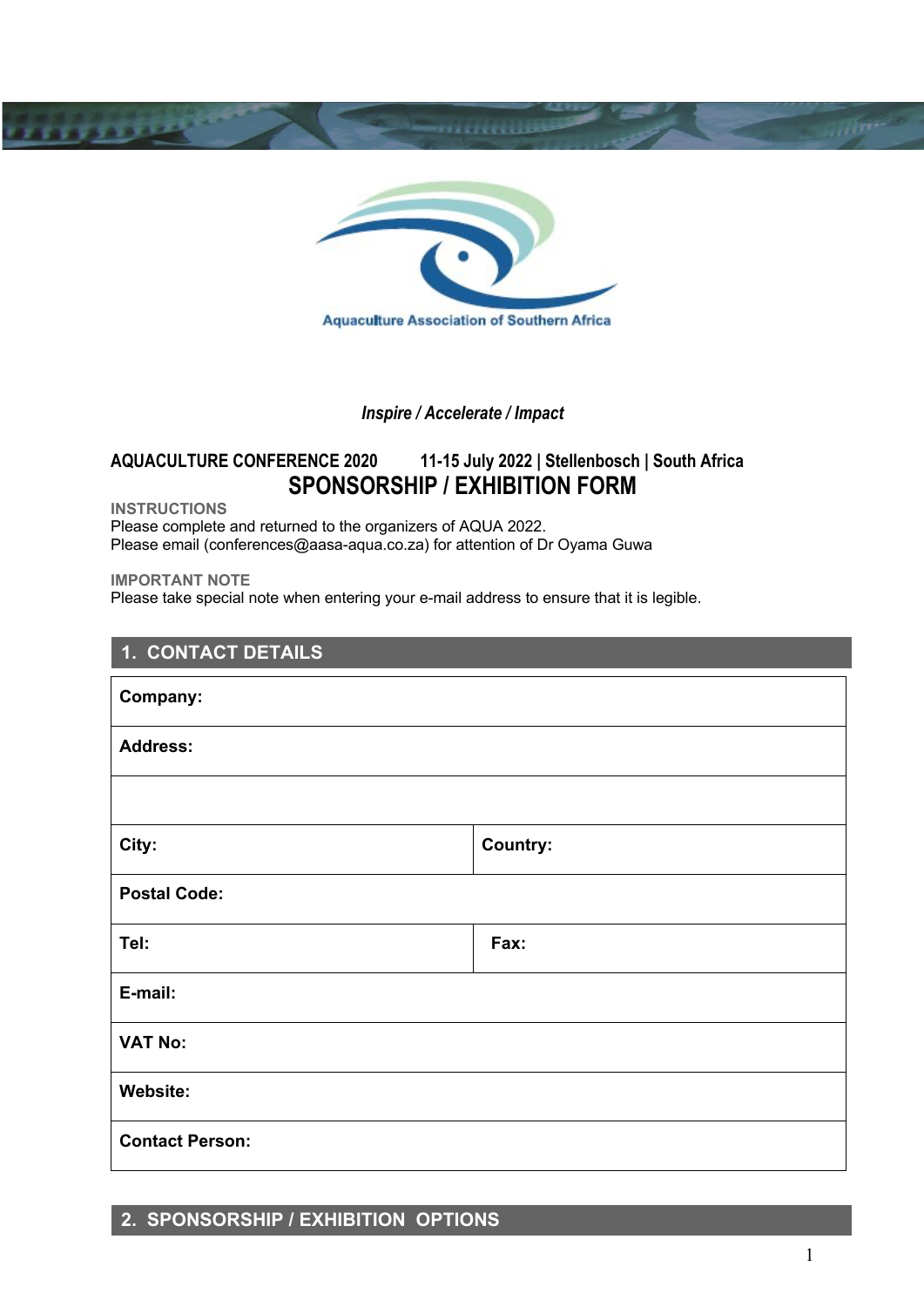

### *Inspire / Accelerate / Impact*

# **AQUACULTURE CONFERENCE 2020 11-15 July 2022 | Stellenbosch | South Africa SPONSORSHIP / EXHIBITION FORM**

**INSTRUCTIONS**

**TELEVILLE** 

Please complete and returned to the organizers of AQUA 2022. Please email (conferences@aasa-aqua.co.za) for attention of Dr Oyama Guwa

**IMPORTANT NOTE**

Please take special note when entering your e-mail address to ensure that it is legible.

| 1. CONTACT DETAILS     |                 |  |
|------------------------|-----------------|--|
| Company:               |                 |  |
| <b>Address:</b>        |                 |  |
|                        |                 |  |
| City:                  | <b>Country:</b> |  |
| <b>Postal Code:</b>    |                 |  |
| Tel:                   | Fax:            |  |
| E-mail:                |                 |  |
| <b>VAT No:</b>         |                 |  |
| Website:               |                 |  |
| <b>Contact Person:</b> |                 |  |

# **2. SPONSORSHIP / EXHIBITION OPTIONS**

**MARTING**